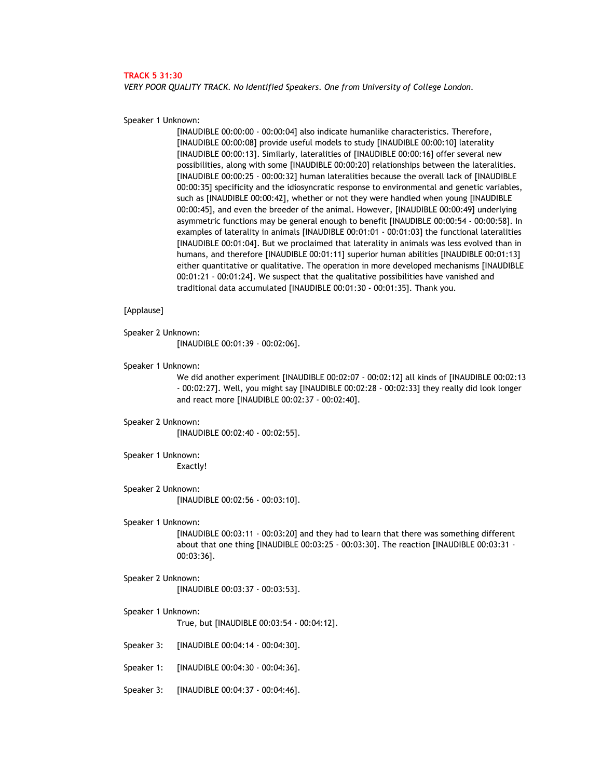### **TRACK 5 31:30**

*VERY POOR QUALITY TRACK. No Identified Speakers. One from University of College London.* 

Speaker 1 Unknown:

[INAUDIBLE 00:00:00 - 00:00:04] also indicate humanlike characteristics. Therefore, [INAUDIBLE 00:00:08] provide useful models to study [INAUDIBLE 00:00:10] laterality [INAUDIBLE 00:00:13]. Similarly, lateralities of [INAUDIBLE 00:00:16] offer several new possibilities, along with some [INAUDIBLE 00:00:20] relationships between the lateralities. [INAUDIBLE 00:00:25 - 00:00:32] human lateralities because the overall lack of [INAUDIBLE 00:00:35] specificity and the idiosyncratic response to environmental and genetic variables, such as [INAUDIBLE 00:00:42], whether or not they were handled when young [INAUDIBLE 00:00:45], and even the breeder of the animal. However, [INAUDIBLE 00:00:49] underlying asymmetric functions may be general enough to benefit [INAUDIBLE 00:00:54 - 00:00:58]. In examples of laterality in animals [INAUDIBLE 00:01:01 - 00:01:03] the functional lateralities [INAUDIBLE 00:01:04]. But we proclaimed that laterality in animals was less evolved than in humans, and therefore [INAUDIBLE 00:01:11] superior human abilities [INAUDIBLE 00:01:13] either quantitative or qualitative. The operation in more developed mechanisms [INAUDIBLE 00:01:21 - 00:01:24]. We suspect that the qualitative possibilities have vanished and traditional data accumulated [INAUDIBLE 00:01:30 - 00:01:35]. Thank you.

## [Applause]

Speaker 2 Unknown:

[INAUDIBLE 00:01:39 - 00:02:06].

Speaker 1 Unknown:

We did another experiment [INAUDIBLE 00:02:07 - 00:02:12] all kinds of [INAUDIBLE 00:02:13 - 00:02:27]. Well, you might say [INAUDIBLE 00:02:28 - 00:02:33] they really did look longer and react more [INAUDIBLE 00:02:37 - 00:02:40].

Speaker 2 Unknown:

[INAUDIBLE 00:02:40 - 00:02:55].

Speaker 1 Unknown: Exactly!

Speaker 2 Unknown: [INAUDIBLE 00:02:56 - 00:03:10].

### Speaker 1 Unknown:

[INAUDIBLE 00:03:11 - 00:03:20] and they had to learn that there was something different about that one thing [INAUDIBLE 00:03:25 - 00:03:30]. The reaction [INAUDIBLE 00:03:31 - 00:03:36].

## Speaker 2 Unknown: [INAUDIBLE 00:03:37 - 00:03:53].

## Speaker 1 Unknown:

True, but [INAUDIBLE 00:03:54 - 00:04:12].

- Speaker 3: [INAUDIBLE 00:04:14 00:04:30].
- Speaker 1: [INAUDIBLE 00:04:30 00:04:36].
- Speaker 3: [INAUDIBLE 00:04:37 00:04:46].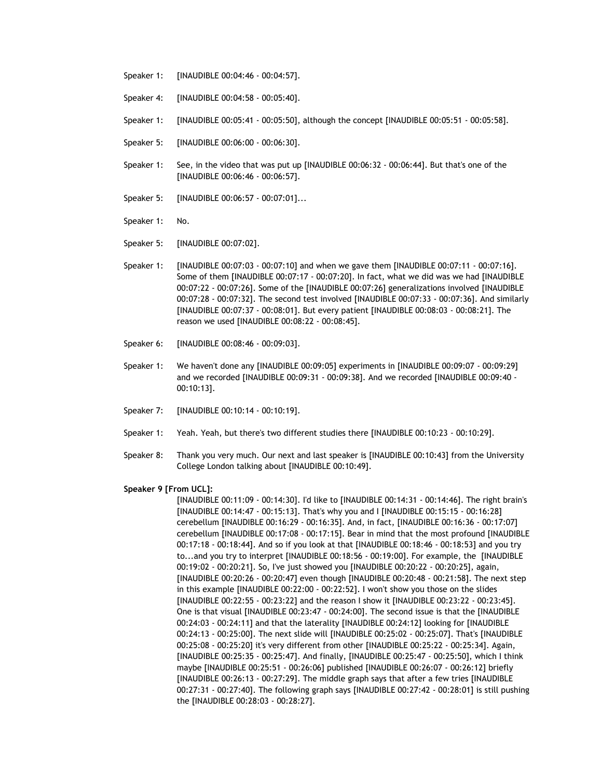- Speaker 1: [INAUDIBLE 00:04:46 00:04:57].
- Speaker 4: [INAUDIBLE 00:04:58 00:05:40].
- Speaker 1: [INAUDIBLE 00:05:41 00:05:50], although the concept [INAUDIBLE 00:05:51 00:05:58].
- Speaker 5: [INAUDIBLE 00:06:00 00:06:30].
- Speaker 1: See, in the video that was put up [INAUDIBLE 00:06:32 00:06:44]. But that's one of the [INAUDIBLE 00:06:46 - 00:06:57].
- Speaker 5: [INAUDIBLE 00:06:57 00:07:01]...
- Speaker 1: No.
- Speaker 5: [INAUDIBLE 00:07:02].
- Speaker 1: [INAUDIBLE 00:07:03 00:07:10] and when we gave them [INAUDIBLE 00:07:11 00:07:16]. Some of them [INAUDIBLE 00:07:17 - 00:07:20]. In fact, what we did was we had [INAUDIBLE 00:07:22 - 00:07:26]. Some of the [INAUDIBLE 00:07:26] generalizations involved [INAUDIBLE 00:07:28 - 00:07:32]. The second test involved [INAUDIBLE 00:07:33 - 00:07:36]. And similarly [INAUDIBLE 00:07:37 - 00:08:01]. But every patient [INAUDIBLE 00:08:03 - 00:08:21]. The reason we used [INAUDIBLE 00:08:22 - 00:08:45].
- Speaker 6: [INAUDIBLE 00:08:46 00:09:03].
- Speaker 1: We haven't done any [INAUDIBLE 00:09:05] experiments in [INAUDIBLE 00:09:07 00:09:29] and we recorded [INAUDIBLE 00:09:31 - 00:09:38]. And we recorded [INAUDIBLE 00:09:40 - 00:10:13].
- Speaker 7: [INAUDIBLE 00:10:14 00:10:19].
- Speaker 1: Yeah. Yeah, but there's two different studies there [INAUDIBLE 00:10:23 00:10:29].
- Speaker 8: Thank you very much. Our next and last speaker is [INAUDIBLE 00:10:43] from the University College London talking about [INAUDIBLE 00:10:49].

#### **Speaker 9 [From UCL]:**

[INAUDIBLE 00:11:09 - 00:14:30]. I'd like to [INAUDIBLE 00:14:31 - 00:14:46]. The right brain's [INAUDIBLE 00:14:47 - 00:15:13]. That's why you and I [INAUDIBLE 00:15:15 - 00:16:28] cerebellum [INAUDIBLE 00:16:29 - 00:16:35]. And, in fact, [INAUDIBLE 00:16:36 - 00:17:07] cerebellum [INAUDIBLE 00:17:08 - 00:17:15]. Bear in mind that the most profound [INAUDIBLE 00:17:18 - 00:18:44]. And so if you look at that [INAUDIBLE 00:18:46 - 00:18:53] and you try to...and you try to interpret [INAUDIBLE 00:18:56 - 00:19:00]. For example, the [INAUDIBLE 00:19:02 - 00:20:21]. So, I've just showed you [INAUDIBLE 00:20:22 - 00:20:25], again, [INAUDIBLE 00:20:26 - 00:20:47] even though [INAUDIBLE 00:20:48 - 00:21:58]. The next step in this example [INAUDIBLE 00:22:00 - 00:22:52]. I won't show you those on the slides [INAUDIBLE 00:22:55 - 00:23:22] and the reason I show it [INAUDIBLE 00:23:22 - 00:23:45]. One is that visual [INAUDIBLE 00:23:47 - 00:24:00]. The second issue is that the [INAUDIBLE 00:24:03 - 00:24:11] and that the laterality [INAUDIBLE 00:24:12] looking for [INAUDIBLE 00:24:13 - 00:25:00]. The next slide will [INAUDIBLE 00:25:02 - 00:25:07]. That's [INAUDIBLE 00:25:08 - 00:25:20] it's very different from other [INAUDIBLE 00:25:22 - 00:25:34]. Again, [INAUDIBLE 00:25:35 - 00:25:47]. And finally, [INAUDIBLE 00:25:47 - 00:25:50], which I think maybe [INAUDIBLE 00:25:51 - 00:26:06] published [INAUDIBLE 00:26:07 - 00:26:12] briefly [INAUDIBLE 00:26:13 - 00:27:29]. The middle graph says that after a few tries [INAUDIBLE 00:27:31 - 00:27:40]. The following graph says [INAUDIBLE 00:27:42 - 00:28:01] is still pushing the [INAUDIBLE 00:28:03 - 00:28:27].